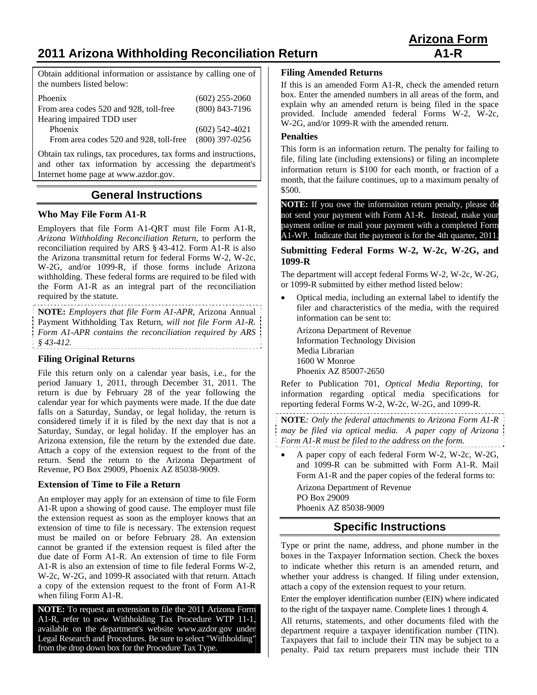# **2011 Arizona Withholding Reconciliation Return A1-R**

Obtain additional information or assistance by calling one of the numbers listed below:

| Phoenix                                | $(602)$ 255-2060 |
|----------------------------------------|------------------|
| From area codes 520 and 928, toll-free | $(800)$ 843-7196 |
| Hearing impaired TDD user              |                  |
| Phoenix                                | $(602)$ 542-4021 |
| From area codes 520 and 928, toll-free | $(800)$ 397-0256 |

Obtain tax rulings, tax procedures, tax forms and instructions, and other tax information by accessing the department's Internet home page at www.azdor.gov.

## **General Instructions**

#### **Who May File Form A1-R**

Employers that file Form A1-QRT must file Form A1-R, *Arizona Withholding Reconciliation Return*, to perform the reconciliation required by ARS § 43-412. Form A1-R is also the Arizona transmittal return for federal Forms W-2, W-2c, W-2G, and/or 1099-R, if those forms include Arizona withholding. These federal forms are required to be filed with the Form A1-R as an integral part of the reconciliation required by the statute.

**NOTE:** *Employers that file Form A1-APR,* Arizona Annual Payment Withholding Tax Return*, will not file Form A1-R. Form A1-APR contains the reconciliation required by ARS § 43-412.* 

#### **Filing Original Returns**

File this return only on a calendar year basis, i.e., for the period January 1, 2011, through December 31, 2011. The return is due by February 28 of the year following the calendar year for which payments were made. If the due date falls on a Saturday, Sunday, or legal holiday, the return is considered timely if it is filed by the next day that is not a Saturday, Sunday, or legal holiday. If the employer has an Arizona extension, file the return by the extended due date. Attach a copy of the extension request to the front of the return. Send the return to the Arizona Department of Revenue, PO Box 29009, Phoenix AZ 85038-9009.

#### **Extension of Time to File a Return**

An employer may apply for an extension of time to file Form A1-R upon a showing of good cause. The employer must file the extension request as soon as the employer knows that an extension of time to file is necessary. The extension request must be mailed on or before February 28. An extension cannot be granted if the extension request is filed after the due date of Form A1-R. An extension of time to file Form A1-R is also an extension of time to file federal Forms W-2, W-2c, W-2G, and 1099-R associated with that return. Attach a copy of the extension request to the front of Form A1-R when filing Form A1-R.

**NOTE:** To request an extension to file the 2011 Arizona Form A1-R, refer to new Withholding Tax Procedure WTP 11-1, available on the department's website www.azdor.gov under Legal Research and Procedures. Be sure to select "Withholding" from the drop down box for the Procedure Tax Type.

#### **Filing Amended Returns**

If this is an amended Form A1-R, check the amended return box. Enter the amended numbers in all areas of the form, and explain why an amended return is being filed in the space provided. Include amended federal Forms W-2, W-2c, W-2G, and/or 1099-R with the amended return.

#### **Penalties**

This form is an information return. The penalty for failing to file, filing late (including extensions) or filing an incomplete information return is \$100 for each month, or fraction of a month, that the failure continues, up to a maximum penalty of \$500.

**NOTE:** If you owe the informaiton return penalty, please do not send your payment with Form A1-R. Instead, make your payment online or mail your payment with a completed Form A1-WP. Indicate that the payment is for the 4th quarter, 2011.

#### **Submitting Federal Forms W-2, W-2c, W-2G, and 1099-R**

The department will accept federal Forms W-2, W-2c, W-2G, or 1099-R submitted by either method listed below:

 Optical media, including an external label to identify the filer and characteristics of the media, with the required information can be sent to:

 Arizona Department of Revenue Information Technology Division Media Librarian 1600 W Monroe Phoenix AZ 85007-2650

Refer to Publication 701, *Optical Media Reporting*, for information regarding optical media specifications for reporting federal Forms W-2, W-2c, W-2G, and 1099-R.

**NOTE***: Only the federal attachments to Arizona Form A1-R may be filed via optical media. A paper copy of Arizona Form A1-R must be filed to the address on the form.* 

 A paper copy of each federal Form W-2, W-2c, W-2G, and 1099-R can be submitted with Form A1-R. Mail Form A1-R and the paper copies of the federal forms to: Arizona Department of Revenue PO Box 29009

Phoenix AZ 85038-9009

## **Specific Instructions**

Type or print the name, address, and phone number in the boxes in the Taxpayer Information section. Check the boxes to indicate whether this return is an amended return, and whether your address is changed. If filing under extension, attach a copy of the extension request to your return.

Enter the employer identification number (EIN) where indicated to the right of the taxpayer name. Complete lines 1 through 4.

All returns, statements, and other documents filed with the department require a taxpayer identification number (TIN). Taxpayers that fail to include their TIN may be subject to a penalty. Paid tax return preparers must include their TIN